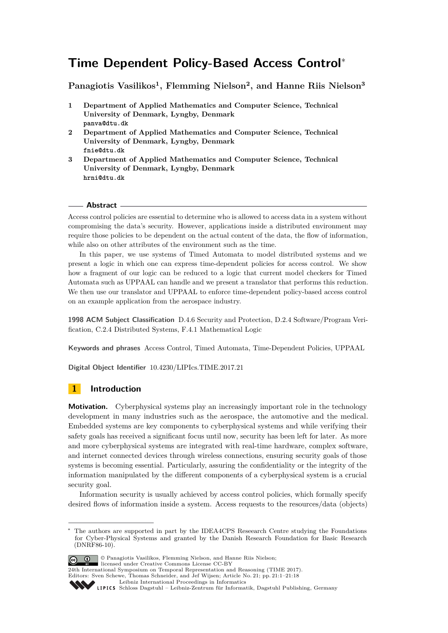# **Time Dependent Policy-Based Access Control**<sup>∗</sup>

**Panagiotis Vasilikos<sup>1</sup> , Flemming Nielson<sup>2</sup> , and Hanne Riis Nielson<sup>3</sup>**

- **1 Department of Applied Mathematics and Computer Science, Technical University of Denmark, Lyngby, Denmark panva@dtu.dk**
- **2 Department of Applied Mathematics and Computer Science, Technical University of Denmark, Lyngby, Denmark fnie@dtu.dk**
- **3 Department of Applied Mathematics and Computer Science, Technical University of Denmark, Lyngby, Denmark hrni@dtu.dk**

#### **Abstract**

Access control policies are essential to determine who is allowed to access data in a system without compromising the data's security. However, applications inside a distributed environment may require those policies to be dependent on the actual content of the data, the flow of information, while also on other attributes of the environment such as the time.

In this paper, we use systems of Timed Automata to model distributed systems and we present a logic in which one can express time-dependent policies for access control. We show how a fragment of our logic can be reduced to a logic that current model checkers for Timed Automata such as UPPAAL can handle and we present a translator that performs this reduction. We then use our translator and UPPAAL to enforce time-dependent policy-based access control on an example application from the aerospace industry.

**1998 ACM Subject Classification** D.4.6 Security and Protection, D.2.4 Software/Program Verification, C.2.4 Distributed Systems, F.4.1 Mathematical Logic

**Keywords and phrases** Access Control, Timed Automata, Time-Dependent Policies, UPPAAL

**Digital Object Identifier** [10.4230/LIPIcs.TIME.2017.21](http://dx.doi.org/10.4230/LIPIcs.TIME.2017.21)

## **1 Introduction**

**Motivation.** Cyberphysical systems play an increasingly important role in the technology development in many industries such as the aerospace, the automotive and the medical. Embedded systems are key components to cyberphysical systems and while verifying their safety goals has received a significant focus until now, security has been left for later. As more and more cyberphysical systems are integrated with real-time hardware, complex software, and internet connected devices through wireless connections, ensuring security goals of those systems is becoming essential. Particularly, assuring the confidentiality or the integrity of the information manipulated by the different components of a cyberphysical system is a crucial security goal.

Information security is usually achieved by access control policies, which formally specify desired flows of information inside a system. Access requests to the resources/data (objects)

The authors are supported in part by the IDEA4CPS Reseearch Centre studying the Foundations for Cyber-Physical Systems and granted by the Danish Research Foundation for Basic Research (DNRF86-10).



© Panagiotis Vasilikos, Flemming Nielson, and Hanne Riis Nielson; licensed under Creative Commons License CC-BY

24th International Symposium on Temporal Representation and Reasoning (TIME 2017). Editors: Sven Schewe, Thomas Schneider, and Jef Wijsen; Article No. 21; pp. 21:1–21[:18](#page-17-0)

[Leibniz International Proceedings in Informatics](http://www.dagstuhl.de/lipics/)

Leibniz international Floretungs in missimosische Publishing, Germany<br>LIPICS [Schloss Dagstuhl – Leibniz-Zentrum für Informatik, Dagstuhl Publishing, Germany](http://www.dagstuhl.de)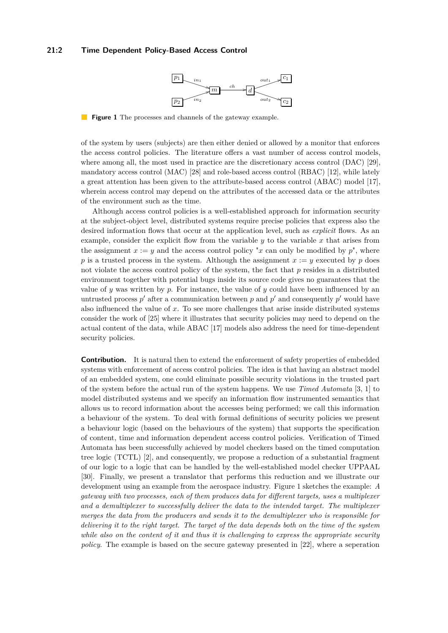#### <span id="page-1-0"></span>**21:2 Time Dependent Policy-Based Access Control**



**Figure 1** The processes and channels of the gateway example.

of the system by users (subjects) are then either denied or allowed by a monitor that enforces the access control policies. The literature offers a vast number of access control models, where among all, the most used in practice are the discretionary access control (DAC) [\[29\]](#page-16-0). mandatory access control (MAC) [\[28\]](#page-16-1) and role-based access control (RBAC) [\[12\]](#page-15-0), while lately a great attention has been given to the attribute-based access control (ABAC) model [\[17\]](#page-16-2), wherein access control may depend on the attributes of the accessed data or the attributes of the environment such as the time.

Although access control policies is a well-established approach for information security at the subject-object level, distributed systems require precise policies that express also the desired information flows that occur at the application level, such as *explicit* flows. As an example, consider the explicit flow from the variable  $y$  to the variable  $x$  that arises from the assignment  $x := y$  and the access control policy "x can only be modified by  $p$ ", where *p* is a trusted process in the system. Although the assignment  $x := y$  executed by *p* does not violate the access control policy of the system, the fact that *p* resides in a distributed environment together with potential bugs inside its source code gives no guarantees that the value of *y* was written by *p*. For instance, the value of *y* could have been influenced by an untrusted process  $p'$  after a communication between  $p$  and  $p'$  and consequently  $p'$  would have also influenced the value of *x*. To see more challenges that arise inside distributed systems consider the work of [\[25\]](#page-16-3) where it illustrates that security policies may need to depend on the actual content of the data, while ABAC [\[17\]](#page-16-2) models also address the need for time-dependent security policies.

**Contribution.** It is natural then to extend the enforcement of safety properties of embedded systems with enforcement of access control policies. The idea is that having an abstract model of an embedded system, one could eliminate possible security violations in the trusted part of the system before the actual run of the system happens. We use *Timed Automata* [\[3,](#page-15-1) [1\]](#page-15-2) to model distributed systems and we specify an information flow instrumented semantics that allows us to record information about the accesses being performed; we call this information a behaviour of the system. To deal with formal definitions of security policies we present a behaviour logic (based on the behaviours of the system) that supports the specification of content, time and information dependent access control policies. Verification of Timed Automata has been successfully achieved by model checkers based on the timed computation tree logic (TCTL) [\[2\]](#page-15-3), and consequently, we propose a reduction of a substantial fragment of our logic to a logic that can be handled by the well-established model checker UPPAAL [\[30\]](#page-16-4). Finally, we present a translator that performs this reduction and we illustrate our development using an example from the aerospace industry. Figure [1](#page-1-0) sketches the example: *A gateway with two processes, each of them produces data for different targets, uses a multiplexer and a demultiplexer to successfully deliver the data to the intended target. The multiplexer merges the data from the producers and sends it to the demultiplexer who is responsible for delivering it to the right target. The target of the data depends both on the time of the system while also on the content of it and thus it is challenging to express the appropriate security policy*. The example is based on the secure gateway presented in [\[22\]](#page-16-5), where a seperation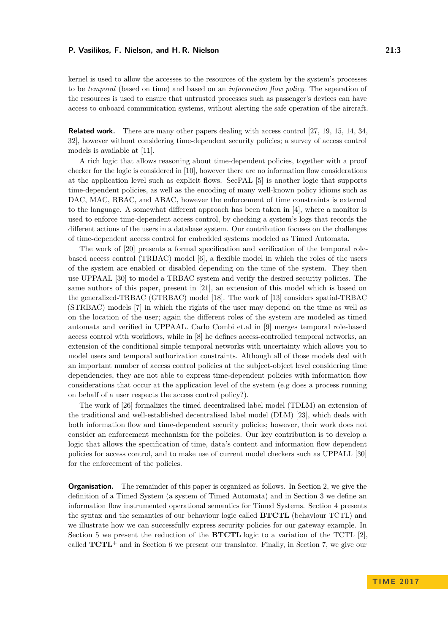kernel is used to allow the accesses to the resources of the system by the system's processes to be *temporal* (based on time) and based on an *information flow policy*. The seperation of the resources is used to ensure that untrusted processes such as passenger's devices can have access to onboard communication systems, without alerting the safe operation of the aircraft.

**Related work.** There are many other papers dealing with access control [\[27,](#page-16-6) [19,](#page-16-7) [15,](#page-15-4) [14,](#page-15-5) [34,](#page-16-8) [32\]](#page-16-9), however without considering time-dependent security policies; a survey of access control models is available at [\[11\]](#page-15-6).

A rich logic that allows reasoning about time-dependent policies, together with a proof checker for the logic is considered in [\[10\]](#page-15-7), however there are no information flow considerations at the application level such as explicit flows. SecPAL [\[5\]](#page-15-8) is another logic that supports time-dependent policies, as well as the encoding of many well-known policy idioms such as DAC, MAC, RBAC, and ABAC, however the enforcement of time constraints is external to the language. A somewhat different approach has been taken in [\[4\]](#page-15-9), where a monitor is used to enforce time-dependent access control, by checking a system's logs that records the different actions of the users in a database system. Our contribution focuses on the challenges of time-dependent access control for embedded systems modeled as Timed Automata.

The work of [\[20\]](#page-16-10) presents a formal specification and verification of the temporal rolebased access control (TRBAC) model [\[6\]](#page-15-10), a flexible model in which the roles of the users of the system are enabled or disabled depending on the time of the system. They then use UPPAAL [\[30\]](#page-16-4) to model a TRBAC system and verify the desired security policies. The same authors of this paper, present in [\[21\]](#page-16-11), an extension of this model which is based on the generalized-TRBAC (GTRBAC) model [\[18\]](#page-16-12). The work of [\[13\]](#page-15-11) considers spatial-TRBAC (STRBAC) models [\[7\]](#page-15-12) in which the rights of the user may depend on the time as well as on the location of the user; again the different roles of the system are modeled as timed automata and verified in UPPAAL. Carlo Combi et.al in [\[9\]](#page-15-13) merges temporal role-based access control with workflows, while in [\[8\]](#page-15-14) he defines access-controlled temporal networks, an extension of the conditional simple temporal networks with uncertainty which allows you to model users and temporal authorization constraints. Although all of those models deal with an important number of access control policies at the subject-object level considering time dependencies, they are not able to express time-dependent policies with information flow considerations that occur at the application level of the system (e.g does a process running on behalf of a user respects the access control policy?).

The work of [\[26\]](#page-16-13) formalizes the timed decentralised label model (TDLM) an extension of the traditional and well-established decentralised label model (DLM) [\[23\]](#page-16-14), which deals with both information flow and time-dependent security policies; however, their work does not consider an enforcement mechanism for the policies. Our key contribution is to develop a logic that allows the specification of time, data's content and information flow dependent policies for access control, and to make use of current model checkers such as UPPALL [\[30\]](#page-16-4) for the enforcement of the policies.

**Organisation.** The remainder of this paper is organized as follows. In Section [2,](#page-3-0) we give the definition of a Timed System (a system of Timed Automata) and in Section [3](#page-4-0) we define an information flow instrumented operational semantics for Timed Systems. Section [4](#page-6-0) presents the syntax and the semantics of our behaviour logic called **BTCTL** (behaviour TCTL) and we illustrate how we can successfully express security policies for our gateway example. In Section [5](#page-9-0) we present the reduction of the **BTCTL** logic to a variation of the TCTL [\[2\]](#page-15-3), called  $TCTL<sup>+</sup>$  and in Section [6](#page-14-0) we present our translator. Finally, in Section [7,](#page-14-1) we give our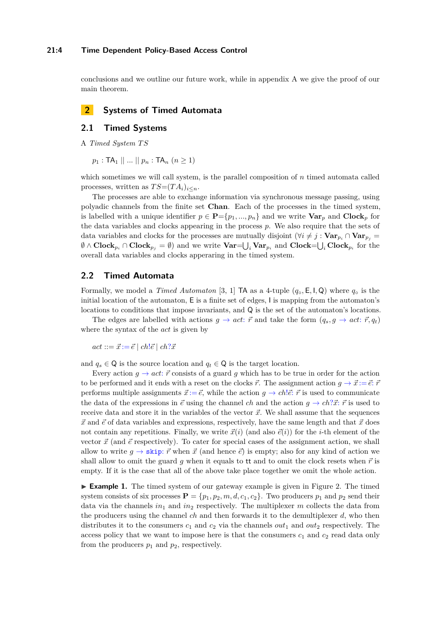#### **21:4 Time Dependent Policy-Based Access Control**

conclusions and we outline our future work, while in appendix A we give the proof of our main theorem.

## <span id="page-3-0"></span>**2 Systems of Timed Automata**

## **2.1 Timed Systems**

A *Timed System T S*

 $p_1 : TA_1 \parallel ... \parallel p_n : TA_n \ (n \geq 1)$ 

which sometimes we will call system, is the parallel composition of *n* timed automata called processes, written as  $TS=(TA_i)_{i\leq n}$ .

The processes are able to exchange information via synchronous message passing, using polyadic channels from the finite set **Chan**. Each of the processes in the timed system, is labelled with a unique identifier  $p \in \mathbf{P} = \{p_1, ..., p_n\}$  and we write  $\mathbf{Var}_p$  and  $\mathbf{Clock}_p$  for the data variables and clocks appearing in the process *p*. We also require that the sets of data variables and clocks for the processes are mutually disjoint  $(\forall i \neq j : \textbf{Var}_{p_i} \cap \textbf{Var}_{p_i})$  $\emptyset \wedge \textbf{Clock}_{p_i} \cap \textbf{Clock}_{p_j} = \emptyset$  and we write  $\textbf{Var} = \bigcup_i \textbf{Var}_{p_i}$  and  $\textbf{Clock} = \bigcup_i \textbf{Clock}_{p_i}$  for the overall data variables and clocks apperaring in the timed system.

## **2.2 Timed Automata**

Formally, we model a *Timed Automaton* [\[3,](#page-15-1) [1\]](#page-15-2) TA as a 4-tuple (*q*◦*,* E*,* I*,* Q) where *q*◦ is the initial location of the automaton, E is a finite set of edges, I is mapping from the automaton's locations to conditions that impose invariants, and Q is the set of the automaton's locations.

The edges are labelled with actions  $g \to act$ :  $\vec{r}$  and take the form  $(q_s, g \to act$ :  $\vec{r}, q_t)$ where the syntax of the *act* is given by

 $act ::= \vec{x} := \vec{e} \mid ch! \vec{e} \mid ch! \vec{x}$ 

and  $q_s \in \mathbb{Q}$  is the source location and  $q_t \in \mathbb{Q}$  is the target location.

Every action  $g \to act: \vec{r}$  consists of a guard g which has to be true in order for the action to be performed and it ends with a reset on the clocks  $\vec{r}$ . The assignment action  $q \rightarrow \vec{x} := \vec{e}$ :  $\vec{r}$ performs multiple assignments  $\vec{x} := \vec{e}$ , while the action  $q \to ch \vec{e}$ :  $\vec{r}$  is used to communicate the data of the expressions in  $\vec{e}$  using the channel *ch* and the action  $q \rightarrow ch$ ?*x*:  $\vec{r}$  is used to receive data and store it in the variables of the vector  $\vec{x}$ . We shall assume that the sequences  $\vec{x}$  and  $\vec{e}$  of data variables and expressions, respectively, have the same length and that  $\vec{x}$  does not contain any repetitions. Finally, we write  $\vec{x}(i)$  (and also  $\vec{e}(i)$ ) for the *i*-th element of the vector  $\vec{x}$  (and  $\vec{e}$  respectively). To cater for special cases of the assignment action, we shall allow to write  $q \to \text{skip}; \vec{r}$  when  $\vec{x}$  (and hence  $\vec{e}$ ) is empty; also for any kind of action we shall allow to omit the guard  $q$  when it equals to tt and to omit the clock resets when  $\vec{r}$  is empty. If it is the case that all of the above take place together we omit the whole action.

<span id="page-3-1"></span>**Example 1.** The timed system of our gateway example is given in Figure [2.](#page-4-1) The timed system consists of six processes  $P = \{p_1, p_2, m, d, c_1, c_2\}$ . Two producers  $p_1$  and  $p_2$  send their data via the channels  $in_1$  and  $in_2$  respectively. The multiplexer *m* collects the data from the producers using the channel *ch* and then forwards it to the demultiplexer *d*, who then distributes it to the consumers  $c_1$  and  $c_2$  via the channels  $out_1$  and  $out_2$  respectively. The access policy that we want to impose here is that the consumers  $c_1$  and  $c_2$  read data only from the producers  $p_1$  and  $p_2$ , respectively.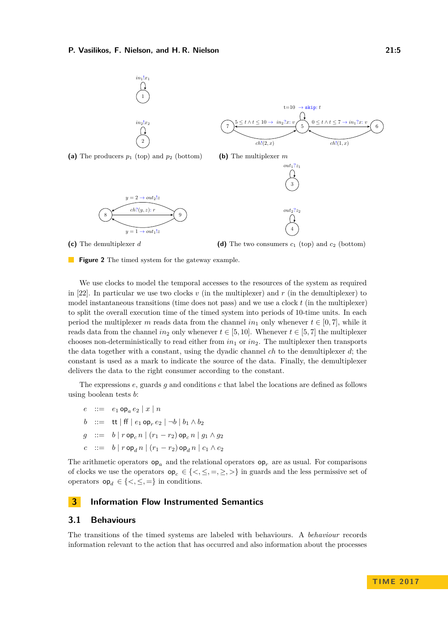<span id="page-4-1"></span>

**Figure 2** The timed system for the gateway example.

We use clocks to model the temporal accesses to the resources of the system as required in [\[22\]](#page-16-5). In particular we use two clocks  $v$  (in the multiplexer) and  $r$  (in the demultiplexer) to model instantaneous transitions (time does not pass) and we use a clock *t* (in the multiplexer) to split the overall execution time of the timed system into periods of 10-time units. In each period the multiplexer *m* reads data from the channel  $in_1$  only whenever  $t \in [0, 7]$ , while it reads data from the channel *in*<sub>2</sub> only whenever  $t \in [5, 10]$ . Whenever  $t \in [5, 7]$  the multiplexer chooses non-deterministically to read either from  $in_1$  or  $in_2$ . The multiplexer then transports the data together with a constant, using the dyadic channel *ch* to the demultiplexer *d*; the constant is used as a mark to indicate the source of the data. Finally, the demultiplexer delivers the data to the right consumer according to the constant.

The expressions *e*, guards *g* and conditions *c* that label the locations are defined as follows using boolean tests *b*:

 $e$  ::=  $e_1 \circ p_a e_2 | x | n$ *b* ::= tt│ff│ $e_1$  op<sub>*r*</sub> $e_2$ │ $\neg b \mid b_1 \wedge b_2$  $g := b | r \log_c n | (r_1 - r_2) \log_c n | g_1 \wedge g_2$ 

 $c$  ::= *b* |  $r \circ p_d n$  |  $(r_1 - r_2) \circ p_d n$  |  $c_1 \wedge c_2$ 

The arithmetic operators  $op_a$  and the relational operators  $op_r$  are as usual. For comparisons of clocks we use the operators  $op_c \in \{<,\leq,=,\geq,>\}$  in guards and the less permissive set of operators  $op_d \in \{<,\leq,=\}$  in conditions.

## <span id="page-4-0"></span>**3 Information Flow Instrumented Semantics**

## **3.1 Behaviours**

The transitions of the timed systems are labeled with behaviours. A *behaviour* records information relevant to the action that has occurred and also information about the processes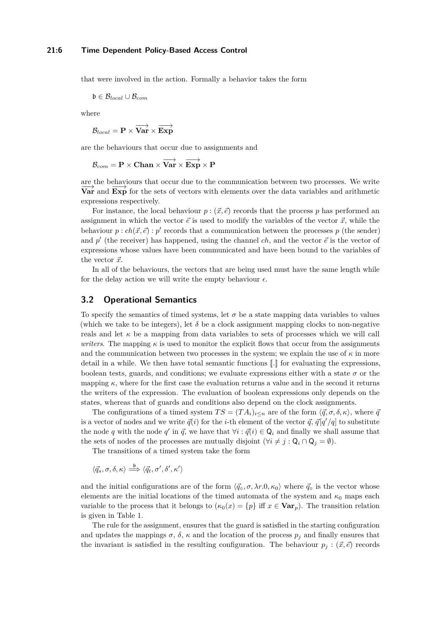that were involved in the action. Formally a behavior takes the form

b ∈ B*local* ∪ B*com*

where

 $\mathcal{B}_{local} = \mathbf{P} \times \overrightarrow{\textbf{Var}} \times \overrightarrow{\textbf{Exp}}$ 

are the behaviours that occur due to assignments and

$$
\mathcal{B}_{com} = \mathbf{P} \times \mathbf{Chan} \times \overrightarrow{\mathbf{Var}} \times \overrightarrow{\mathbf{Exp}} \times \mathbf{P}
$$

are the behaviours that occur due to the communication between two processes. We write <del>Let the behaviours</del> that been due to the communication between two processes. We write<br>**Var** and **Exp** for the sets of vectors with elements over the data variables and arithmetic expressions respectively.

For instance, the local behaviour  $p : (\vec{x}, \vec{e})$  records that the process p has performed an assignment in which the vector  $\vec{e}$  is used to modify the variables of the vector  $\vec{x}$ , while the behaviour  $p : ch(\vec{x}, \vec{e}) : p'$  records that a communication between the processes p (the sender) and  $p'$  (the receiver) has happened, using the channel *ch*, and the vector  $\vec{e}$  is the vector of expressions whose values have been communicated and have been bound to the variables of the vector  $\vec{x}$ .

In all of the behaviours, the vectors that are being used must have the same length while for the delay action we will write the empty behaviour  $\epsilon$ .

## **3.2 Operational Semantics**

To specify the semantics of timed systems, let  $\sigma$  be a state mapping data variables to values (which we take to be integers), let  $\delta$  be a clock assignment mapping clocks to non-negative reals and let  $\kappa$  be a mapping from data variables to sets of processes which we will call *writers*. The mapping  $\kappa$  is used to monitor the explicit flows that occur from the assignments and the communication between two processes in the system; we explain the use of  $\kappa$  in more detail in a while. We then have total semantic functions [[*.*]] for evaluating the expressions, boolean tests, guards, and conditions; we evaluate expressions either with a state  $\sigma$  or the mapping  $\kappa$ , where for the first case the evaluation returns a value and in the second it returns the writers of the expression. The evaluation of boolean expressions only depends on the states, whereas that of guards and conditions also depend on the clock assignments.

The configurations of a timed system  $TS = (TA_i)_{i \le n}$  are of the form  $\langle \vec{q}, \sigma, \delta, \kappa \rangle$ , where  $\vec{q}$ is a vector of nodes and we write  $\vec{q}(i)$  for the *i*-th element of the vector  $\vec{q}$ ,  $\vec{q}[q'/q]$  to substitute the node *q* with the node *q*' in  $\vec{q}$ , we have that  $\forall i : \vec{q}(i) \in \mathsf{Q}_i$  and finally we shall assume that the sets of nodes of the processes are mutually disjoint  $(\forall i \neq j : \mathsf{Q}_i \cap \mathsf{Q}_j = \emptyset)$ .

The transitions of a timed system take the form

 $\langle \vec{q}_s, \sigma, \delta, \kappa \rangle \stackrel{\mathfrak{b}}{\Longrightarrow} \langle \vec{q}_t, \sigma', \delta', \kappa' \rangle$ 

and the initial configurations are of the form  $\langle \vec{q} \cdot \rho, \lambda r.0, \kappa_0 \rangle$  where  $\vec{q} \circ \vec{r}$  is the vector whose elements are the initial locations of the timed automata of the system and  $\kappa_0$  maps each variable to the process that it belongs to  $(\kappa_0(x) = \{p\}$  iff  $x \in \mathbf{Var}_p$ ). The transition relation is given in Table [1.](#page-6-1)

The rule for the assignment, ensures that the guard is satisfied in the starting configuration and updates the mappings  $\sigma$ ,  $\delta$ ,  $\kappa$  and the location of the process  $p_j$  and finally ensures that the invariant is satisfied in the resulting configuration. The behaviour  $p_j : (\vec{x}, \vec{e})$  records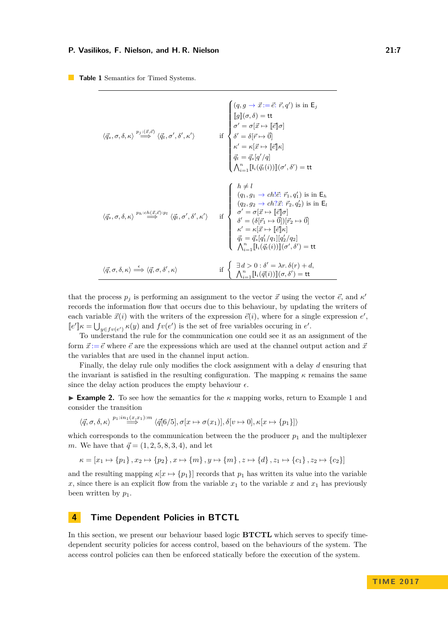<span id="page-6-1"></span>**Table 1** Semantics for Timed Systems.

| $\langle \vec{q}_s,\sigma,\delta,\kappa\rangle\stackrel{p_j:(\vec{x},\vec{e})}{\Longrightarrow}\langle \vec{q}_t,\sigma',\delta',\kappa'\rangle$                                     | $\begin{cases} (q,g\rightarrow \vec{x} \mathbin{:=} \vec{e};\, \vec{r}, q') \text{ is in } \mathsf{E}_j \\ \begin{bmatrix} [g] (\sigma,\delta) = \mathsf{tt} \\ \sigma' = \sigma[\vec{x} \mapsto [\![\vec{e}]\!] \sigma] \end{bmatrix} \\ \text{if } \begin{cases} \delta' = \delta[\vec{r} \mapsto \vec{0}] \\ \delta' = \kappa[\vec{x} \mapsto [\![\vec{e}]\!] \kappa] \\ \vec{q_t} = \vec{q_s} [q'/q] \\ \bigwedge_{i=1}^n [\![\mathsf{I}_i(\vec{q_t}(i))]\!](\sigma',\delta') = \mathsf$ |
|--------------------------------------------------------------------------------------------------------------------------------------------------------------------------------------|----------------------------------------------------------------------------------------------------------------------------------------------------------------------------------------------------------------------------------------------------------------------------------------------------------------------------------------------------------------------------------------------------------------------------------------------------------------------------------------------|
| $\left\langle \vec{q}_{s},\sigma,\delta,\kappa\right\rangle \overset{p_{h}:ch(\vec{x},\vec{e}):p_{l}}{\Longrightarrow}\left\langle \vec{q}_{t},\sigma',\delta',\kappa'\right\rangle$ | $\label{eq:22} \text{if} \; \left\{ \begin{array}{l} h \neq l \\ \left(q_1, g_1 \rightarrow ch l \vec{e};\, \vec{r}_1, q_1'\right) \text{ is in } \mathsf{E}_h \\ \left(q_2, g_2 \rightarrow ch l \vec{x};\, \vec{r}_2, q_2'\right) \text{ is in } \mathsf{E}_l \\ \sigma' = \sigma[\vec{x} \mapsto [\vec{e}]\sigma] \\ \delta' = \left(\delta[\vec{r}_1 \mapsto \vec{0}]\right)[\vec{r}_2 \mapsto \vec{0}] \\ \kappa' = \kappa[\vec{x} \mapsto [\vec{e}]\kappa] \\ \vec{q}_t = \$           |
| $\langle \vec{q}, \sigma, \delta, \kappa \rangle \stackrel{\epsilon}{\Longrightarrow} \langle \vec{q}, \sigma, \delta', \kappa \rangle$                                              | if $\left\{\n\begin{array}{l}\n\exists d > 0 : \delta' = \lambda r.\,\delta(r) + d, \\ \bigwedge_{i=1}^{n} \llbracket \mathbf{l}_i(\vec{q}(i)) \rrbracket(\sigma, \delta') = \mathbf{t} \mathbf{t}\n\end{array}\n\right.$                                                                                                                                                                                                                                                                    |

that the process  $p_j$  is performing an assignment to the vector  $\vec{x}$  using the vector  $\vec{e}$ , and  $\kappa'$ records the information flow that occurs due to this behaviour, by updating the writers of each variable  $\vec{x}(i)$  with the writers of the expression  $\vec{e}(i)$ , where for a single expression  $e'$ ,  $\llbracket e' \rrbracket \kappa = \bigcup_{y \in f^v(e')} \kappa(y)$  and  $fv(e')$  is the set of free variables occuring in *e'*.

To understand the rule for the communication one could see it as an assignment of the form  $\vec{x} := \vec{e}$  where  $\vec{e}$  are the expressions which are used at the channel output action and  $\vec{x}$ the variables that are used in the channel input action.

Finally, the delay rule only modifies the clock assignment with a delay *d* ensuring that the invariant is satisfied in the resulting configuration. The mapping  $\kappa$  remains the same since the delay action produces the empty behaviour  $\epsilon$ .

I **Example 2.** To see how the semantics for the *κ* mapping works, return to Example [1](#page-3-1) and consider the transition

$$
\langle \vec{q}, \sigma, \delta, \kappa \rangle \stackrel{p_1:in_1(x,x_1):m}{\Longrightarrow} \langle \vec{q[6/5]}, \sigma[x \mapsto \sigma(x_1)], \delta[v \mapsto 0], \kappa[x \mapsto \{p_1\}]\rangle
$$

which corresponds to the communication between the the producer  $p_1$  and the multiplexer *m*. We have that  $\vec{q} = (1, 2, 5, 8, 3, 4)$ , and let

$$
\kappa = [x_1 \mapsto \{p_1\}, x_2 \mapsto \{p_2\}, x \mapsto \{m\}, y \mapsto \{m\}, z \mapsto \{d\}, z_1 \mapsto \{c_1\}, z_2 \mapsto \{c_2\}]
$$

and the resulting mapping  $\kappa[x \mapsto \{p_1\}]$  records that  $p_1$  has written its value into the variable *x*, since there is an explicit flow from the variable  $x_1$  to the variable *x* and  $x_1$  has previously been written by  $p_1$ .

## <span id="page-6-0"></span>**4 Time Dependent Policies in BTCTL**

In this section, we present our behaviour based logic **BTCTL** which serves to specify timedependent security policies for access control, based on the behaviours of the system. The access control policies can then be enforced statically before the execution of the system.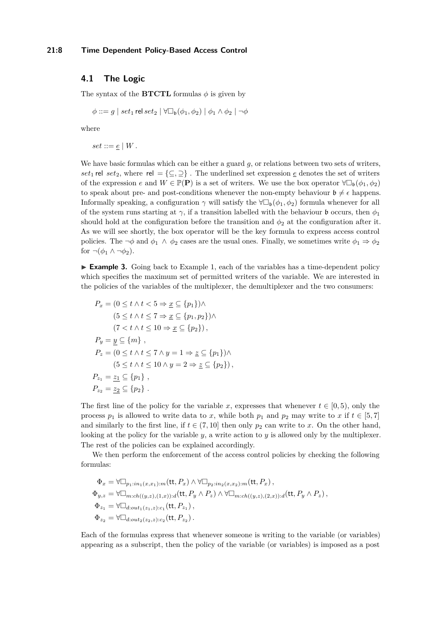## **4.1 The Logic**

The syntax of the **BTCTL** formulas  $\phi$  is given by

*φ* ::= *g* | *set*<sub>1</sub> rel *set*<sub>2</sub> |  $\forall$ □<sub>b</sub>( $φ$ <sub>1</sub>, $φ$ <sub>2</sub>) |  $φ$ <sub>1</sub> ∧  $φ$ <sub>2</sub> | ¬ $φ$ 

where

 $set ::= e | W$ .

We have basic formulas which can be either a guard q, or relations between two sets of writers, *set*<sub>1</sub> rel *set*<sub>2</sub>, where rel =  $\{\subseteq, \supseteq\}$ . The underlined set expression  $\in$  denotes the set of writers of the expression *e* and  $W \in \mathbb{P}(\mathbf{P})$  is a set of writers. We use the box operator  $\forall \Box_{\mathfrak{b}}(\phi_1, \phi_2)$ to speak about pre- and post-conditions whenever the non-empty behaviour  $\mathfrak{b} \neq \epsilon$  happens. Informally speaking, a configuration  $\gamma$  will satisfy the  $\forall \Box_b(\phi_1, \phi_2)$  formula whenever for all of the system runs starting at  $\gamma$ , if a transition labelled with the behaviour **b** occurs, then  $\phi_1$ should hold at the configuration before the transition and  $\phi_2$  at the configuration after it. As we will see shortly, the box operator will be the key formula to express access control policies. The  $\neg \phi$  and  $\phi_1 \land \phi_2$  cases are the usual ones. Finally, we sometimes write  $\phi_1 \Rightarrow \phi_2$ for  $\neg(\phi_1 \wedge \neg \phi_2)$ .

<span id="page-7-0"></span> $\triangleright$  **Example 3.** Going back to Example [1,](#page-3-1) each of the variables has a time-dependent policy which specifies the maximum set of permitted writers of the variable. We are interested in the policies of the variables of the multiplexer, the demultiplexer and the two consumers:

$$
P_x = (0 \le t \land t < 5 \Rightarrow \underline{x} \subseteq \{p_1\}) \land
$$
\n
$$
(5 \le t \land t \le 7 \Rightarrow \underline{x} \subseteq \{p_1, p_2\}) \land
$$
\n
$$
(7 < t \land t \le 10 \Rightarrow \underline{x} \subseteq \{p_2\}),
$$
\n
$$
P_y = \underline{y} \subseteq \{m\},
$$
\n
$$
P_z = (0 \le t \land t \le 7 \land y = 1 \Rightarrow \underline{z} \subseteq \{p_1\}) \land
$$
\n
$$
(5 \le t \land t \le 10 \land y = 2 \Rightarrow \underline{z} \subseteq \{p_2\}),
$$
\n
$$
P_{z_1} = \underline{z_1} \subseteq \{p_1\},
$$
\n
$$
P_{z_2} = \underline{z_2} \subseteq \{p_2\}.
$$

The first line of the policy for the variable *x*, expresses that whenever  $t \in [0, 5)$ , only the process  $p_1$  is allowed to write data to *x*, while both  $p_1$  and  $p_2$  may write to *x* if  $t \in [5,7]$ and similarly to the first line, if  $t \in (7, 10]$  then only  $p_2$  can write to x. On the other hand, looking at the policy for the variable  $y$ , a write action to  $y$  is allowed only by the multiplexer. The rest of the policies can be explained accordingly.

We then perform the enforcement of the access control policies by checking the following formulas:

$$
\Phi_x = \forall \Box_{p_1:in_1(x,x_1):m}(\text{tt}, P_x) \land \forall \Box_{p_2:in_2(x,x_2):m}(\text{tt}, P_x),
$$
\n
$$
\Phi_{y,z} = \forall \Box_{m:ch((y,z),(1,x)):d}(\text{tt}, P_y \land P_z) \land \forall \Box_{m:ch((y,z),(2,x)):d}(\text{tt}, P_y \land P_z),
$$
\n
$$
\Phi_{z_1} = \forall \Box_{d:out_1(z_1,z):c_1}(\text{tt}, P_{z_1}),
$$
\n
$$
\Phi_{z_2} = \forall \Box_{d:out_2(z_2,z):c_2}(\text{tt}, P_{z_2}).
$$

Each of the formulas express that whenever someone is writing to the variable (or variables) appearing as a subscript, then the policy of the variable (or variables) is imposed as a post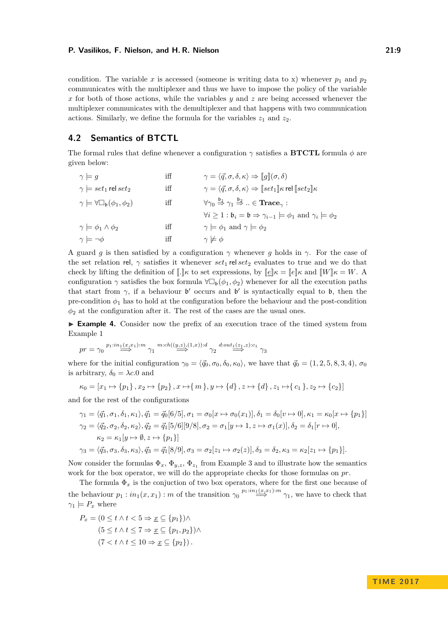condition. The variable x is accessed (someone is writing data to x) whenever  $p_1$  and  $p_2$ communicates with the multiplexer and thus we have to impose the policy of the variable *x* for both of those actions, while the variables *y* and *z* are being accessed whenever the multiplexer communicates with the demultiplexer and that happens with two communication actions. Similarly, we define the formula for the variables  $z_1$  and  $z_2$ .

## **4.2 Semantics of BTCTL**

The formal rules that define whenever a configuration *γ* satisfies a **BTCTL** formula *φ* are given below:

| $\gamma \models q$                                           | iff | $\gamma = \langle \vec{q}, \sigma, \delta, \kappa \rangle \Rightarrow \ g\ (\sigma, \delta)$                                                       |
|--------------------------------------------------------------|-----|----------------------------------------------------------------------------------------------------------------------------------------------------|
| $\gamma \models set_1$ rel $set_2$                           | iff | $\gamma = \langle \vec{q}, \sigma, \delta, \kappa \rangle \Rightarrow \llbracket set_1 \rrbracket \kappa$ rel $\llbracket set_2 \rrbracket \kappa$ |
| $\gamma \models \forall \Box_{\mathfrak{b}}(\phi_1, \phi_2)$ | iff | $\forall \gamma_0 \stackrel{\mathfrak{b}_1}{\Rightarrow} \gamma_1 \stackrel{\mathfrak{b}_2}{\Rightarrow}  \in \mathbf{Trace}_{\gamma}$ :           |
|                                                              |     | $\forall i \geq 1 : \mathfrak{b}_i = \mathfrak{b} \Rightarrow \gamma_{i-1} \models \phi_1 \text{ and } \gamma_i \models \phi_2$                    |
| $\gamma \models \phi_1 \wedge \phi_2$                        | iff | $\gamma \models \phi_1$ and $\gamma \models \phi_2$                                                                                                |
| $\gamma \models \neg \phi$                                   | iff | $\gamma \not\models \phi$                                                                                                                          |

A guard *g* is then satisfied by a configuration  $\gamma$  whenever *g* holds in  $\gamma$ . For the case of the set relation rel,  $\gamma$  satisfies it whenever  $set_1$  rel  $set_2$  evaluates to true and we do that check by lifting the definition of  $\llbracket \cdot \rrbracket \kappa$  to set expressions, by  $\llbracket \varepsilon \rrbracket \kappa = \llbracket e \rrbracket \kappa$  and  $\llbracket W \rrbracket \kappa = W$ . A configuration  $\gamma$  satisfies the box formula  $\forall \Box_b(\phi_1, \phi_2)$  whenever for all the execution paths that start from  $\gamma$ , if a behaviour  $\mathfrak{b}'$  occurs and  $\mathfrak{b}'$  is syntactically equal to  $\mathfrak{b}$ , then the pre-condition  $\phi_1$  has to hold at the configuration before the behaviour and the post-condition  $\phi_2$  at the configuration after it. The rest of the cases are the usual ones.

► **Example 4.** Consider now the prefix of an execution trace of the timed system from Example [1](#page-3-1)

$$
pr = \gamma_0 \stackrel{p_1:in_1(x,x_1):m}{\Longrightarrow} \gamma_1 \stackrel{m:ch((y,z),(1,x)):d}{\Longrightarrow} \gamma_2 \stackrel{d:out_1(z_1,z):c_1}{\Longrightarrow} \gamma_3
$$

where for the initial configuration  $\gamma_0 = \langle \vec{q}_0, \sigma_0, \delta_0, \kappa_0 \rangle$ , we have that  $\vec{q}_0 = (1, 2, 5, 8, 3, 4), \sigma_0$ is arbitrary,  $\delta_0 = \lambda c.0$  and

$$
\kappa_0 = [x_1 \mapsto \{p_1\}, x_2 \mapsto \{p_2\}, x \mapsto \{m\}, y \mapsto \{d\}, z \mapsto \{d\}, z_1 \mapsto \{c_1\}, z_2 \mapsto \{c_2\}]
$$

and for the rest of the configurations

$$
\gamma_1 = \langle \vec{q}_1, \sigma_1, \delta_1, \kappa_1 \rangle, \vec{q}_1 = \vec{q}_0[6/5], \sigma_1 = \sigma_0[x \mapsto \sigma_0(x_1)], \delta_1 = \delta_0[v \mapsto 0], \kappa_1 = \kappa_0[x \mapsto \{p_1\}]
$$
  
\n
$$
\gamma_2 = \langle \vec{q}_2, \sigma_2, \delta_2, \kappa_2 \rangle, \vec{q}_2 = \vec{q}_1[5/6][9/8], \sigma_2 = \sigma_1[y \mapsto 1, z \mapsto \sigma_1(x)], \delta_2 = \delta_1[r \mapsto 0],
$$
  
\n
$$
\kappa_2 = \kappa_1[y \mapsto \emptyset, z \mapsto \{p_1\}]
$$
  
\n
$$
\gamma_3 = \langle \vec{q}_3, \sigma_3, \delta_3, \kappa_3 \rangle, \vec{q}_3 = \vec{q}_1[8/9], \sigma_3 = \sigma_2[z_1 \mapsto \sigma_2(z)], \delta_3 = \delta_2, \kappa_3 = \kappa_2[z_1 \mapsto \{p_1\}].
$$

Now consider the formulas  $\Phi_x$ ,  $\Phi_{y,z}$ ,  $\Phi_{z_1}$  from Example [3](#page-7-0) and to illustrate how the semantics work for the box operator, we will do the appropriate checks for those formulas on *pr*.

The formula  $\Phi_x$  is the conjuction of two box operators, where for the first one because of the behaviour  $p_1 : in_1(x, x_1) : m$  of the transition  $\gamma_0 \stackrel{p_1: in_1(x, x_1): m}{\Longrightarrow} \gamma_1$ , we have to check that  $\gamma_1 \models P_x$  where

$$
P_x = (0 \le t \land t < 5 \Rightarrow \underline{x} \subseteq \{p_1\}) \land
$$

$$
(5 \le t \land t \le 7 \Rightarrow \underline{x} \subseteq \{p_1, p_2\}) \land
$$

$$
(7 < t \land t \le 10 \Rightarrow \underline{x} \subseteq \{p_2\}).
$$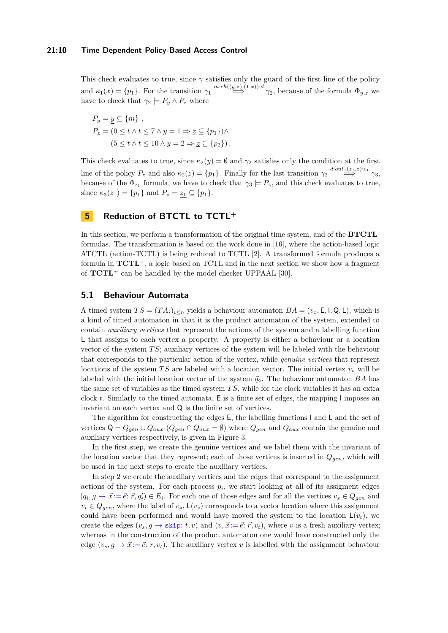This check evaluates to true, since  $\gamma$  satisfies only the guard of the first line of the policy and  $\kappa_1(x) = \{p_1\}$ . For the transition  $\gamma_1 \stackrel{m:ch((y,z),(1,x)) : d}{\implies} \gamma_2$ , because of the formula  $\Phi_{y,z}$  we have to check that  $\gamma_2 \models P_y \land P_z$  where

$$
P_y = \underline{y} \subseteq \{m\},
$$
  
\n
$$
P_z = (0 \le t \land t \le 7 \land y = 1 \Rightarrow \underline{z} \subseteq \{p_1\}) \land
$$
  
\n
$$
(5 \le t \land t \le 10 \land y = 2 \Rightarrow \underline{z} \subseteq \{p_2\}).
$$

This check evaluates to true, since  $\kappa_2(y) = \emptyset$  and  $\gamma_2$  satisfies only the condition at the first line of the policy  $P_z$  and also  $\kappa_2(z) = \{p_1\}$ . Finally for the last transition  $\gamma_2 \stackrel{d:out_1(z_1,z):c_1}{\Longrightarrow} \gamma_3$ , because of the  $\Phi_{z_1}$  formula, we have to check that  $\gamma_3 \models P_z$ , and this check evaluates to true, since  $\kappa_3(z_1) = \{p_1\}$  and  $P_z = z_1 \subseteq \{p_1\}.$ 

## <span id="page-9-0"></span>**5 Reduction of BTCTL to TCTL<sup>+</sup>**

In this section, we perform a transformation of the original time system, and of the **BTCTL** formulas. The transformation is based on the work done in [\[16\]](#page-16-15), where the action-based logic ATCTL (action-TCTL) is being reduced to TCTL [\[2\]](#page-15-3). A transformed formula produces a formula in **TCTL**<sup>+</sup>, a logic based on TCTL and in the next section we show how a fragment of **TCTL**<sup>+</sup> can be handled by the model checker UPPAAL [\[30\]](#page-16-4).

## **5.1 Behaviour Automata**

A timed system  $TS = (TA_i)_{i \le n}$  yields a behaviour automaton  $BA = (v_\circ, \mathsf{E}, \mathsf{I}, \mathsf{Q}, \mathsf{L})$ , which is a kind of timed automaton in that it is the product automaton of the system, extended to contain *auxiliary vertices* that represent the actions of the system and a labelling function L that assigns to each vertex a property. A property is either a behaviour or a location vector of the system *T S*; auxiliary vertices of the system will be labeled with the behaviour that corresponds to the particular action of the vertex, while *genuine vertices* that represent locations of the system *TS* are labeled with a location vector. The initial vertex  $v_{\rm o}$  will be labeled with the initial location vector of the system  $\vec{q}$ <sup>°</sup>. The behaviour automaton *BA* has the same set of variables as the timed system *T S*, while for the clock variables it has an extra clock *t*. Similarly to the timed automata, E is a finite set of edges, the mapping I imposes an invariant on each vertex and Q is the finite set of vertices.

The algorithm for constructing the edges E, the labelling functions I and L and the set of vertices  $Q = Q_{gen} \cup Q_{aux} (Q_{gen} \cap Q_{aux} = \emptyset)$  where  $Q_{gen}$  and  $Q_{aux}$  contain the genuine and auxiliary vertices respectively, is given in Figure [3.](#page-10-0)

In the first step, we create the genuine vertices and we label them with the invariant of the location vector that they represent; each of those vertices is inserted in *Qgen*, which will be used in the next steps to create the auxiliary vertices.

In step 2 we create the auxiliary vertices and the edges that correspond to the assignment actions of the system. For each process  $p_i$ , we start looking at all of its assigment edges  $(q_i, g \to \vec{x} := \vec{e} : \vec{r}, q'_i) \in E_i$ . For each one of those edges and for all the vertices  $v_s \in Q_{gen}$  and  $v_t \in Q_{gen}$ , where the label of  $v_s$ ,  $\mathsf{L}(v_s)$  corresponds to a vector location where this assignment could have been performed and would have moved the system to the location  $\mathsf{L}(v_t)$ , we create the edges  $(v_s, g \to \text{skip}; t, v)$  and  $(v, \vec{x} := \vec{e}; \vec{r}, v_t)$ , where *v* is a fresh auxiliary vertex; whereas in the construction of the product automaton one would have constructed only the edge  $(v_s, g \to \vec{x} := \vec{e}: r, v_t)$ . The auxiliary vertex *v* is labelled with the assignment behaviour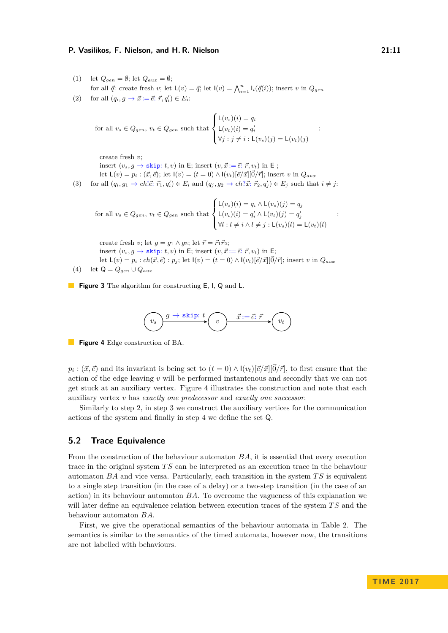- <span id="page-10-0"></span>(1) let  $Q_{gen} = \emptyset$ ; let  $Q_{aux} = \emptyset$ ; for all  $\vec{q}$ : create fresh *v*; let  $\mathsf{L}(v) = \vec{q}$ ; let  $\mathsf{I}(v) = \bigwedge_{i=1}^{n} \mathsf{I}_i(\vec{q}(i))$ ; insert *v* in  $Q_{gen}$
- (2) for all  $(q_i, g \to \vec{x} := \vec{e} : \vec{r}, q'_i) \in E_i$ :

for all 
$$
v_s \in Q_{gen}
$$
,  $v_t \in Q_{gen}$  such that 
$$
\begin{cases} \mathsf{L}(v_s)(i) = q_i \\ \mathsf{L}(v_t)(i) = q'_i \\ \forall j : j \neq i : \mathsf{L}(v_s)(j) = \mathsf{L}(v_t)(j) \end{cases}
$$

create fresh *v*;

insert  $(v_s, g \rightarrow \text{skip}; t, v)$  in E; insert  $(v, \vec{x} := \vec{e}; \vec{r}, v_t)$  in E; let  $L(v) = p_i : (\vec{x}, \vec{e})$ ; let  $I(v) = (t = 0) \wedge I(v_t)[\vec{e}/\vec{x}][\vec{0}/\vec{r}]$ ; insert *v* in  $Q_{aux}$ 

(3) for all  $(q_i, g_1 \to ch \cdot \vec{e} : \vec{r}_1, q'_i) \in E_i$  and  $(q_j, g_2 \to ch \cdot \vec{x} : \vec{r}_2, q'_j) \in E_j$  such that  $i \neq j$ :

for all 
$$
v_s \in Q_{gen}
$$
,  $v_t \in Q_{gen}$  such that 
$$
\begin{cases} \mathsf{L}(v_s)(i) = q_i \wedge \mathsf{L}(v_s)(j) = q_j \\ \mathsf{L}(v_t)(i) = q'_i \wedge \mathsf{L}(v_t)(j) = q'_j \\ \forall l : l \neq i \wedge l \neq j : \mathsf{L}(v_s)(l) = \mathsf{L}(v_t)(l) \end{cases}
$$

create fresh *v*; let  $g = g_1 \wedge g_2$ ; let  $\vec{r} = \vec{r}_1 \vec{r}_2$ ; insert  $(v_s, g \rightarrow \text{skip}; t, v)$  in E; insert  $(v, \vec{x} := \vec{e}; \vec{r}, v_t)$  in E; let  $L(v) = p_i : ch(\vec{x}, \vec{e}) : p_j$ ; let  $I(v) = (t = 0) \wedge I(v_t)[\vec{e}/\vec{x}][\vec{0}/\vec{r}]$ ; insert *v* in  $Q_{aux}$ (4) let  $Q = Q_{gen} \cup Q_{aux}$ 

<span id="page-10-1"></span>**Figure 3** The algorithm for constructing **E**, **I**, **Q** and **L**.



**Figure 4** Edge construction of BA.

 $p_i : (\vec{x}, \vec{e})$  and its invariant is being set to  $(t = 0) \wedge (v_t)[\vec{e}/\vec{x}][\vec{0}/\vec{r}]$ , to first ensure that the action of the edge leaving *v* will be performed instantenous and secondly that we can not get stuck at an auxiliary vertex. Figure [4](#page-10-1) illustrates the construction and note that each auxiliary vertex *v* has *exactly one predecessor* and *exactly one successor*.

Similarly to step 2, in step 3 we construct the auxiliary vertices for the communication actions of the system and finally in step 4 we define the set Q.

### **5.2 Trace Equivalence**

From the construction of the behaviour automaton *BA*, it is essential that every execution trace in the original system *T S* can be interpreted as an execution trace in the behaviour automaton *BA* and vice versa. Particularly, each transition in the system *T S* is equivalent to a single step transition (in the case of a delay) or a two-step transition (in the case of an action) in its behaviour automaton *BA*. To overcome the vagueness of this explanation we will later define an equivalence relation between execution traces of the system *T S* and the behaviour automaton *BA*.

First, we give the operational semantics of the behaviour automata in Table [2.](#page-11-0) The semantics is similar to the semantics of the timed automata, however now, the transitions are not labelled with behaviours.

:

: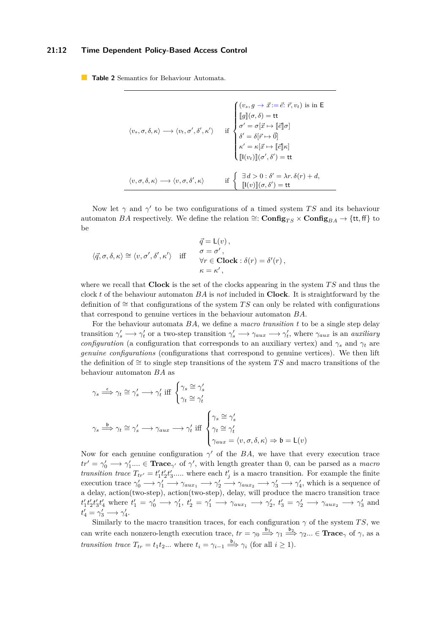#### **21:12 Time Dependent Policy-Based Access Control**

<span id="page-11-0"></span>**Table 2** Semantics for Behaviour Automata.

| $\langle v_s, \sigma, \delta, \kappa \rangle \longrightarrow \langle v_t, \sigma', \delta', \kappa' \rangle$ | $\label{eq:22} \begin{cases} (v_s, g \to \vec{x} \!:=\! \vec{e}\!\!:\vec{r}, v_t) \text{ is in }\mathsf{E} \\ \llbracket g \rrbracket (\sigma, \delta) = \mathsf{tt} \\ \sigma' = \sigma[\vec{x} \mapsto \llbracket \vec{e} \rrbracket \sigma] \\ \delta' = \delta[\vec{r} \mapsto \vec{0}] \\ \kappa' = \kappa[\vec{x} \mapsto \llbracket \vec{e} \rrbracket \kappa] \\ \llbracket \mathsf{I}(v_t) \rrbracket (\sigma', \delta') = \mathsf{tt} \end{cases}$ |
|--------------------------------------------------------------------------------------------------------------|--------------------------------------------------------------------------------------------------------------------------------------------------------------------------------------------------------------------------------------------------------------------------------------------------------------------------------------------------------------------------------------------------------------------------------------------------------------|
| $\langle v,\sigma,\delta,\kappa\rangle \longrightarrow \langle v,\sigma,\delta',\kappa\rangle$               | if $\begin{cases} \exists d > 0 : \delta' = \lambda r. \delta(r) + d, \\ \llbracket \mathbf{l}(v) \rrbracket(\sigma, \delta') = \mathbf{t} \mathbf{t} \end{cases}$                                                                                                                                                                                                                                                                                           |

Now let  $\gamma$  and  $\gamma'$  to be two configurations of a timed system *TS* and its behaviour automaton *BA* respectively. We define the relation  $\cong$ : **Config**<sub>*TS*</sub>  $\times$  **Config**<sub>*BA*</sub>  $\rightarrow$  {tt, ff} to be

$$
\begin{aligned}\n\vec{q} &= \mathsf{L}(v)\,, \\
\langle \vec{q}, \sigma, \delta, \kappa \rangle &\cong \langle v, \sigma', \delta', \kappa' \rangle \quad \text{iff} \quad \begin{aligned}\n\vec{q} &= \mathsf{L}(v)\,, \\
\sigma &= \sigma'\,, \\
\forall r \in \mathbf{Clock} : \delta(r) = \delta'(r)\,, \\
\kappa &= \kappa'\,,\n\end{aligned}
$$

where we recall that **Clock** is the set of the clocks appearing in the system *T S* and thus the clock *t* of the behaviour automaton *BA* is *not* included in **Clock**. It is straightforward by the definition of ∼= that configurations of the system *T S* can only be related with configurations that correspond to genuine vertices in the behaviour automaton *BA*.

For the behaviour automata *BA*, we define a *macro transition t* to be a single step delay transition  $\gamma'_s \longrightarrow \gamma'_t$  or a two-step transition  $\gamma'_s \longrightarrow \gamma_{aux} \longrightarrow \gamma'_t$ , where  $\gamma_{aux}$  is an *auxiliary configuration* (a configuration that corresponds to an auxiliary vertex) and  $\gamma_s$  and  $\gamma_t$  are *genuine configurations* (configurations that correspond to genuine vertices). We then lift the definition of  $\cong$  to single step transitions of the system *TS* and macro transitions of the behaviour automaton *BA* as

$$
\gamma_s \stackrel{\epsilon}{\Longrightarrow} \gamma_t \cong \gamma_s' \longrightarrow \gamma_t' \text{ iff } \begin{cases} \gamma_s \cong \gamma_s' \\ \gamma_t \cong \gamma_t' \end{cases}
$$

$$
\gamma_s \stackrel{\mathfrak{b}}{\Longrightarrow} \gamma_t \cong \gamma_s' \longrightarrow \gamma_{aux} \longrightarrow \gamma_t' \text{ iff } \begin{cases} \gamma_s \cong \gamma_s' \\ \gamma_t \cong \gamma_t' \\ \gamma_{aux} = \langle v, \sigma, \delta, \kappa \rangle \Rightarrow \mathfrak{b} = \mathsf{L}(v) \end{cases}
$$

Now for each genuine configuration  $\gamma'$  of the *BA*, we have that every execution trace  $tr' = \gamma_0' \longrightarrow \gamma_1'... \in \textbf{Trace}_{\gamma'}$  of  $\gamma'$ , with length greater than 0, can be parsed as a *macro transition trace*  $T_{tr'} = t'_1 t'_2 t'_3 \dots$  where each  $t'_j$  is a macro transition. For example the finite execution trace  $\gamma'_0 \longrightarrow \gamma'_1 \longrightarrow \gamma_{aux_1} \longrightarrow \gamma'_2 \longrightarrow \gamma_{aux_2} \longrightarrow \gamma'_3 \longrightarrow \gamma'_4$ , which is a sequence of a delay, action(two-step), action(two-step), delay, will produce the macro transition trace  $t'_1t'_2t'_3t'_4$  where  $t'_1 = \gamma'_0 \longrightarrow \gamma'_1$ ,  $t'_2 = \gamma'_1 \longrightarrow \gamma_{aux_1} \longrightarrow \gamma'_2$ ,  $t'_3 = \gamma'_2 \longrightarrow \gamma_{aux_2} \longrightarrow \gamma'_3$  and  $t'_4 = \gamma'_3 \longrightarrow \gamma'_4.$ 

Similarly to the macro transition traces, for each configuration  $\gamma$  of the system *TS*, we can write each nonzero-length execution trace,  $tr = \gamma_0 \stackrel{\mathfrak{b}_1}{\Longrightarrow} \gamma_1 \stackrel{\mathfrak{b}_2}{\Longrightarrow} \gamma_2 ... \in \mathbf{Trace}_{\gamma}$  of  $\gamma$ , as a *transition trace*  $T_{tr} = t_1 t_2 ...$  where  $t_i = \gamma_{i-1} \stackrel{\mathfrak{b}_i}{\Longrightarrow} \gamma_i$  (for all  $i \geq 1$ ).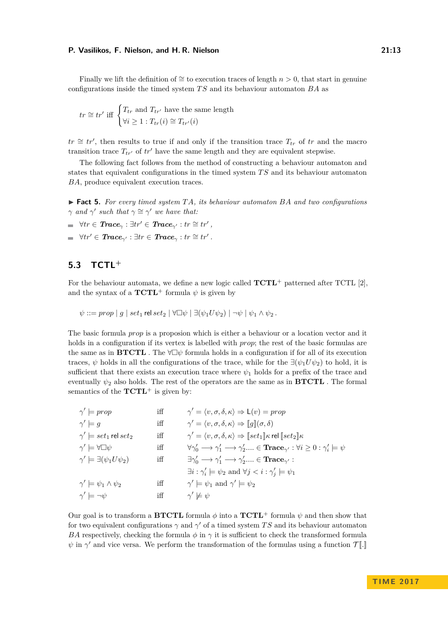Finally we lift the definition of ∼= to execution traces of length *n >* 0, that start in genuine configurations inside the timed system *T S* and its behaviour automaton *BA* as

$$
tr \cong tr'
$$
 iff  $\begin{cases} T_{tr} \text{ and } T_{tr'} \text{ have the same length} \\ \forall i \geq 1 : T_{tr}(i) \cong T_{tr'}(i) \end{cases}$ 

 $tr \cong tr'$ , then results to true if and only if the transition trace  $T_{tr}$  of  $tr$  and the macro transition trace  $T_{tr}$  of  $tr'$  have the same length and they are equivalent stepwise.

The following fact follows from the method of constructing a behaviour automaton and states that equivalent configurations in the timed system *T S* and its behaviour automaton *BA*, produce equivalent execution traces.

<span id="page-12-0"></span>▶ **Fact 5.** For every timed system TA, its behaviour automaton BA and two configurations *γ* and *γ*' *such that*  $\gamma \cong \gamma'$  *we have that:* 

- $\forall tr \in \text{Trace}_{\gamma} : \exists tr' \in \text{Trace}_{\gamma'} : tr \cong tr'$
- $\forall tr' \in \textit{Trace}_{\gamma'} : \exists tr \in \textit{Trace}_{\gamma} : tr \cong tr'$ .

## **5.3 TCTL<sup>+</sup>**

For the behaviour automata, we define a new logic called **TCTL**<sup>+</sup> patterned after TCTL [\[2\]](#page-15-3), and the syntax of a  $\textbf{TCTL}^+$  formula  $\psi$  is given by

 $\psi ::= prop \mid g \mid set_1 \text{ rel set}_2 \mid \forall \Box \psi \mid \exists (\psi_1 U \psi_2) \mid \neg \psi \mid \psi_1 \wedge \psi_2$ .

The basic formula *prop* is a proposion which is either a behaviour or a location vector and it holds in a configuration if its vertex is labelled with *prop*; the rest of the basic formulas are the same as in **BTCTL**. The  $\forall \Box \psi$  formula holds in a configuration if for all of its execution traces,  $\psi$  holds in all the configurations of the trace, while for the  $\exists (\psi_1 U \psi_2)$  to hold, it is sufficient that there exists an execution trace where  $\psi_1$  holds for a prefix of the trace and eventually  $\psi_2$  also holds. The rest of the operators are the same as in **BTCTL**. The formal semantics of the  $TCTL^+$  is given by:

| $\gamma' \models prop$                      | iff | $\gamma' = \langle v, \sigma, \delta, \kappa \rangle \Rightarrow L(v) = prop$                                                                          |
|---------------------------------------------|-----|--------------------------------------------------------------------------------------------------------------------------------------------------------|
| $\gamma' \models q$                         | iff | $\gamma' = \langle v, \sigma, \delta, \kappa \rangle \Rightarrow   g  (\sigma, \delta)$                                                                |
| $\gamma' \models set_1$ rel $set_2$         | iff | $\gamma' = \langle v, \sigma, \delta, \kappa \rangle \Rightarrow \llbracket set_1 \rrbracket \kappa$ rel $\llbracket set_2 \rrbracket \kappa$          |
| $\gamma' \models \forall \Box \psi$         | iff | $\forall \gamma'_0 \longrightarrow \gamma'_1 \longrightarrow \gamma'_2 \dots \in \textbf{Trace}_{\gamma'} : \forall i \geq 0 : \gamma'_i \models \psi$ |
| $\gamma' \models \exists (\psi_1 U \psi_2)$ | iff | $\exists \gamma_0' \longrightarrow \gamma_1' \longrightarrow \gamma_2'  \in \text{Trace}_{\gamma'}$ :                                                  |
|                                             |     | $\exists i : \gamma'_i \models \psi_2 \text{ and } \forall j < i : \gamma'_i \models \psi_1$                                                           |
| $\gamma' \models \psi_1 \wedge \psi_2$      | iff | $\gamma' \models \psi_1$ and $\gamma' \models \psi_2$                                                                                                  |
| $\gamma' \models \neg \psi$                 | iff | $\gamma' \not\models \psi$                                                                                                                             |

Our goal is to transform a **BTCTL** formula  $\phi$  into a **TCTL**<sup>+</sup> formula  $\psi$  and then show that for two equivalent configurations  $\gamma$  and  $\gamma'$  of a timed system TS and its behaviour automaton *BA* respectively, checking the formula  $\phi$  in  $\gamma$  it is sufficient to check the transformed formula  $\psi$  in  $\gamma'$  and vice versa. We perform the transformation of the formulas using a function  $\mathcal{T}$ [*.*]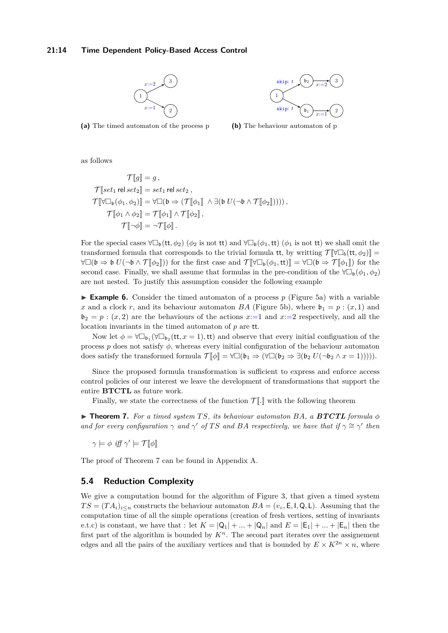#### <span id="page-13-0"></span>**21:14 Time Dependent Policy-Based Access Control**



1  $\mathfrak{b}_1$  $\mathfrak{b}_2 \longrightarrow 3$ 2 skip: *t* skip:  $t\rightarrow \frac{b_2}{x:=2}$ *x*:=1

**(a)** The timed automaton of the process p

**(b)** The behaviour automaton of p

as follows

$$
\mathcal{T}[\![g]\!] = g,
$$
\n
$$
\mathcal{T}[\![set_1 \text{ rel set}_2]\!] = set_1 \text{ rel set}_2,
$$
\n
$$
\mathcal{T}[\![\forall \Box_b(\phi_1, \phi_2)]\!] = \forall \Box(\mathfrak{b} \Rightarrow (\mathcal{T}[\![\phi_1]\!]\!] \land \exists (\mathfrak{b} \ U(\neg \mathfrak{b} \land \mathcal{T}[\![\phi_2]\!]))),
$$
\n
$$
\mathcal{T}[\![\phi_1 \land \phi_2]\!] = \mathcal{T}[\![\phi_1]\!] \land \mathcal{T}[\![\phi_2]\!],
$$
\n
$$
\mathcal{T}[\![\neg \phi]\!] = \neg \mathcal{T}[\![\phi]\!].
$$

For the special cases  $\forall \Box_b(t_t, \phi_2)$  ( $\phi_2$  is not tt) and  $\forall \Box_b(\phi_1, \text{tt})$  ( $\phi_1$  is not tt) we shall omit the transformed formula that corresponds to the trivial formula tt, by writting  $\mathcal{T}[\forall \Box_h(\mathsf{t}\mathsf{t}, \phi_2)]$  $\forall \Box(\mathfrak{b} \Rightarrow \mathfrak{b} \ U(\neg \mathfrak{b} \land \mathcal{T}[\![\phi_2]\!])$  for the first case and  $\mathcal{T}[\![\forall \Box_{\mathfrak{b}}(\phi_1, \mathfrak{t} \mathfrak{t})] = \forall \Box(\mathfrak{b} \Rightarrow \mathcal{T}[\![\phi_1]\!])$  for the second case. Finally, we shall assume that formulas in the pre-condition of the  $\forall \Box_b(\phi_1, \phi_2)$ are not nested. To justify this assumption consider the following example

**Example 6.** Consider the timed automaton of a process  $p$  (Figure [5a\)](#page-13-0) with a variable *x* and a clock *r*, and its behaviour automaton *BA* (Figure [5b\)](#page-13-0), where  $\mathfrak{b}_1 = p : (x,1)$  and  $\mathfrak{b}_2 = p : (x, 2)$  are the behaviours of the actions  $x:=1$  and  $x:=2$  respectively, and all the location invariants in the timed automaton of *p* are tt.

Now let  $\phi = \forall \Box_{\mathfrak{b}_1}(\forall \Box_{\mathfrak{b}_2}(\mathsf{tt}, x = 1), \mathsf{tt})$  and observe that every initial configuation of the process  $p$  does not satisfy  $\phi$ , whereas every initial configuration of the behaviour automaton does satisfy the transformed formula  $\mathcal{T}[\![\phi]\!] = \forall \Box(\mathfrak{b}_1 \Rightarrow (\forall \Box(\mathfrak{b}_2 \Rightarrow \exists (\mathfrak{b}_2 U(\neg \mathfrak{b}_2 \land x = 1))))).$ 

Since the proposed formula transformation is sufficient to express and enforce access control policies of our interest we leave the development of transformations that support the entire **BTCTL** as future work.

Finally, we state the correctness of the function  $\mathcal{T}$ . with the following theorem

<span id="page-13-1"></span> $\triangleright$  **Theorem 7.** For a timed system TS, its behaviour automaton BA, a **BTCTL** formula  $\phi$ *and for every configuration*  $\gamma$  *and*  $\gamma'$  *of TS and BA respectively, we have that if*  $\gamma \cong \gamma'$  *then* 

 $\gamma \models \phi \text{ iff } \gamma' \models \mathcal{T}[\![\phi]\!]$ 

The proof of Theorem [7](#page-13-1) can be found in Appendix [A.](#page-16-16)

## **5.4 Reduction Complexity**

We give a computation bound for the algorithm of Figure [3,](#page-10-0) that given a timed system  $TS = (TA_i)_{i \le n}$  constructs the behaviour automaton  $BA = (v_\circ, E, I, Q, L)$ . Assuming that the computation time of all the simple operations (creation of fresh vertices, setting of invariants e.t.c) is constant, we have that : let  $K = |Q_1| + ... + |Q_n|$  and  $E = |E_1| + ... + |E_n|$  then the first part of the algorithm is bounded by  $K<sup>n</sup>$ . The second part iterates over the assignement edges and all the pairs of the auxiliary vertices and that is bounded by  $E \times K^{2n} \times n$ , where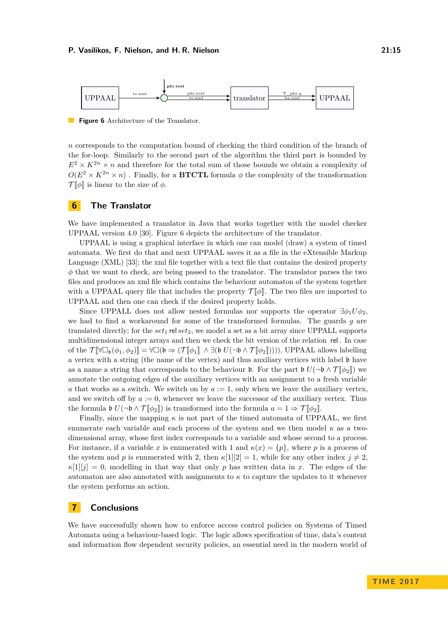<span id="page-14-2"></span>

**Figure 6** Architecture of the Translator.

*n* corresponds to the computation bound of checking the third condition of the branch of the for-loop. Similarly to the second part of the algorithm the third part is bounded by  $E^2 \times K^{2n} \times n$  and therefore for the total sum of those bounds we obtain a complexity of  $O(E^2 \times K^{2n} \times n)$ . Finally, for a **BTCTL** formula  $\phi$  the complexity of the transformation  $\mathcal{T}[\![\phi]\!]$  is linear to the size of  $\phi$ .

## <span id="page-14-0"></span>**6 The Translator**

We have implemented a translator in Java that works together with the model checker UPPAAL version 4.0 [\[30\]](#page-16-4). Figure [6](#page-14-2) depicts the architecture of the translator.

UPPAAL is using a graphical interface in which one can model (draw) a system of timed automata. We first do that and next UPPAAL saves it as a file in the eXtensible Markup Language (XML) [\[33\]](#page-16-17); the xml file together with a text file that contains the desired property  $\phi$  that we want to check, are being passed to the translator. The translator parses the two files and produces an xml file which contains the behaviour automaton of the system together with a UPPAAL query file that includes the property  $\mathcal{T}[\![\phi]\!]$ . The two files are imported to UPPAAL and then one can check if the desired property holds.

Since UPPALL does not allow nested formulas nor supports the operator  $\exists \phi_1 U \phi_2$ . we had to find a workaround for some of the transformed formulas. The guards *g* are translated directly; for the  $set_1$  rel  $set_2$ , we model a set as a bit array since UPPALL supports multidimensional integer arrays and then we check the bit version of the relation rel . In case of the  $\mathcal{T}[\![\forall\Box_{\mathfrak{b}}(\phi_1,\phi_2)]\!] = \forall \Box(\mathfrak{b} \Rightarrow (\mathcal{T}[\![\phi_1]\!]) \land \exists (\mathfrak{b} \ U(\neg \mathfrak{b} \land \mathcal{T}[\![\phi_2]\!]))\)$ , UPPAAL allows labelling a vertex with a string (the name of the vertex) and thus auxiliary vertices with label  $\mathfrak b$  have as a name a string that corresponds to the behaviour **b**. For the part **b**  $U(\neg \mathfrak{b} \wedge \mathcal{T}[\![\phi_2]\!])$  we annotate the outgoing edges of the auxiliary vertices with an assignment to a fresh variable *a* that works as a switch. We switch on by  $a := 1$ , only when we leave the auxiliary vertex, and we switch off by  $a := 0$ , whenever we leave the successor of the auxiliary vertex. Thus the formula  $\mathfrak{b} U(\neg \mathfrak{b} \wedge \mathcal{T}[\![\phi_2]\!])$  is transformed into the formula  $a = 1 \Rightarrow \mathcal{T}[\![\phi_2]\!].$ 

Finally, since the mapping  $\kappa$  is not part of the timed automata of UPPAAL, we first enumerate each variable and each process of the system and we then model  $\kappa$  as a twodimensional array, whose first index corresponds to a variable and whose second to a process. For instance, if a variable *x* is enumerated with 1 and  $\kappa(x) = \{p\}$ , where *p* is a process of the system and *p* is enumerated with 2, then  $\kappa[1][2] = 1$ , while for any other index  $j \neq 2$ ,  $\kappa[1][j] = 0$ , modelling in that way that only *p* has written data in *x*. The edges of the automaton are also annotated with assignments to  $\kappa$  to capture the updates to it whenever the system performs an action.

### <span id="page-14-1"></span>**7 Conclusions**

We have successfully shown how to enforce access control policies on Systems of Timed Automata using a behaviour-based logic. The logic allows specification of time, data's content and information flow dependent security policies, an essential need in the modern world of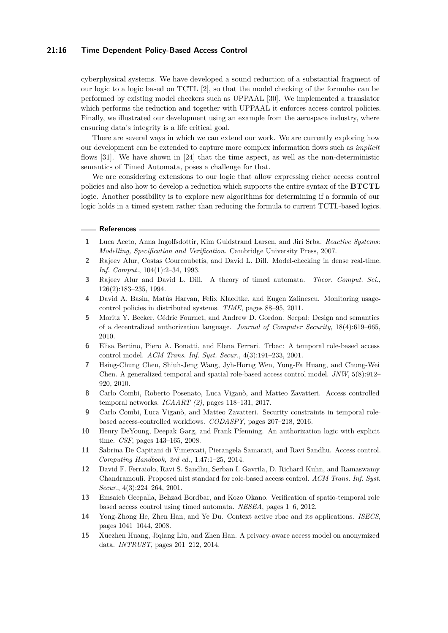### **21:16 Time Dependent Policy-Based Access Control**

cyberphysical systems. We have developed a sound reduction of a substantial fragment of our logic to a logic based on TCTL [\[2\]](#page-15-3), so that the model checking of the formulas can be performed by existing model checkers such as UPPAAL [\[30\]](#page-16-4). We implemented a translator which performs the reduction and together with UPPAAL it enforces access control policies. Finally, we illustrated our development using an example from the aerospace industry, where ensuring data's integrity is a life critical goal.

There are several ways in which we can extend our work. We are currently exploring how our development can be extended to capture more complex information flows such as *implicit* flows [\[31\]](#page-16-18). We have shown in [\[24\]](#page-16-19) that the time aspect, as well as the non-deterministic semantics of Timed Automata, poses a challenge for that.

We are considering extensions to our logic that allow expressing richer access control policies and also how to develop a reduction which supports the entire syntax of the **BTCTL** logic. Another possibility is to explore new algorithms for determining if a formula of our logic holds in a timed system rather than reducing the formula to current TCTL-based logics.

#### **References**

- <span id="page-15-2"></span>**1** Luca Aceto, Anna Ingolfsdottir, Kim Guldstrand Larsen, and Jiri Srba. *Reactive Systems: Modelling, Specification and Verification*. Cambridge University Press, 2007.
- <span id="page-15-3"></span>**2** Rajeev Alur, Costas Courcoubetis, and David L. Dill. Model-checking in dense real-time. *Inf. Comput.*, 104(1):2–34, 1993.
- <span id="page-15-1"></span>**3** Rajeev Alur and David L. Dill. A theory of timed automata. *Theor. Comput. Sci.*, 126(2):183–235, 1994.
- <span id="page-15-9"></span>**4** David A. Basin, Matús Harvan, Felix Klaedtke, and Eugen Zalinescu. Monitoring usagecontrol policies in distributed systems. *TIME*, pages 88–95, 2011.
- <span id="page-15-8"></span>**5** Moritz Y. Becker, Cédric Fournet, and Andrew D. Gordon. Secpal: Design and semantics of a decentralized authorization language. *Journal of Computer Security*, 18(4):619–665, 2010.
- <span id="page-15-10"></span>**6** Elisa Bertino, Piero A. Bonatti, and Elena Ferrari. Trbac: A temporal role-based access control model. *ACM Trans. Inf. Syst. Secur.*, 4(3):191–233, 2001.
- <span id="page-15-12"></span>**7** Hsing-Chung Chen, Shiuh-Jeng Wang, Jyh-Horng Wen, Yung-Fa Huang, and Chung-Wei Chen. A generalized temporal and spatial role-based access control model. *JNW*, 5(8):912– 920, 2010.
- <span id="page-15-14"></span>**8** Carlo Combi, Roberto Posenato, Luca Viganò, and Matteo Zavatteri. Access controlled temporal networks. *ICAART (2)*, pages 118–131, 2017.
- <span id="page-15-13"></span>**9** Carlo Combi, Luca Viganò, and Matteo Zavatteri. Security constraints in temporal rolebased access-controlled workflows. *CODASPY*, pages 207–218, 2016.
- <span id="page-15-7"></span>**10** Henry DeYoung, Deepak Garg, and Frank Pfenning. An authorization logic with explicit time. *CSF*, pages 143–165, 2008.
- <span id="page-15-6"></span>**11** Sabrina De Capitani di Vimercati, Pierangela Samarati, and Ravi Sandhu. Access control. *Computing Handbook, 3rd ed.*, 1:47:1–25, 2014.
- <span id="page-15-0"></span>**12** David F. Ferraiolo, Ravi S. Sandhu, Serban I. Gavrila, D. Richard Kuhn, and Ramaswamy Chandramouli. Proposed nist standard for role-based access control. *ACM Trans. Inf. Syst. Secur.*, 4(3):224–264, 2001.
- <span id="page-15-11"></span>**13** Emsaieb Geepalla, Behzad Bordbar, and Kozo Okano. Verification of spatio-temporal role based access control using timed automata. *NESEA*, pages 1–6, 2012.
- <span id="page-15-5"></span>**14** Yong-Zhong He, Zhen Han, and Ye Du. Context active rbac and its applications. *ISECS*, pages 1041–1044, 2008.
- <span id="page-15-4"></span>**15** Xuezhen Huang, Jiqiang Liu, and Zhen Han. A privacy-aware access model on anonymized data. *INTRUST*, pages 201–212, 2014.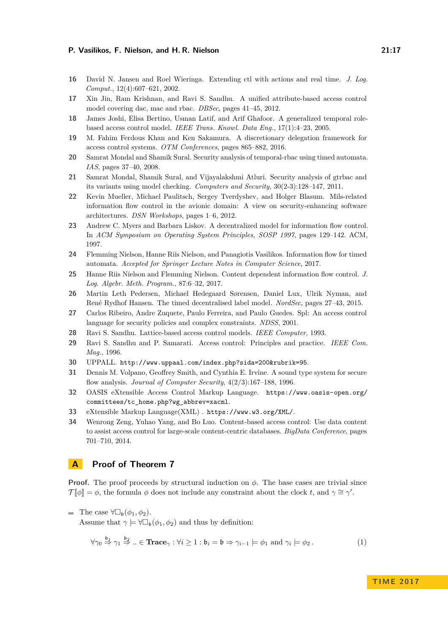- <span id="page-16-15"></span>**16** David N. Jansen and Roel Wieringa. Extending ctl with actions and real time. *J. Log. Comput.*, 12(4):607–621, 2002.
- <span id="page-16-2"></span>**17** Xin Jin, Ram Krishnan, and Ravi S. Sandhu. A unified attribute-based access control model covering dac, mac and rbac. *DBSec*, pages 41–45, 2012.
- <span id="page-16-12"></span>**18** James Joshi, Elisa Bertino, Usman Latif, and Arif Ghafoor. A generalized temporal rolebased access control model. *IEEE Trans. Knowl. Data Eng.*, 17(1):4–23, 2005.
- <span id="page-16-7"></span>**19** M. Fahim Ferdous Khan and Ken Sakamura. A discretionary delegation framework for access control systems. *OTM Conferences*, pages 865–882, 2016.
- <span id="page-16-10"></span>**20** Samrat Mondal and Shamik Sural. Security analysis of temporal-rbac using timed automata. *IAS*, pages 37–40, 2008.
- <span id="page-16-11"></span>**21** Samrat Mondal, Shamik Sural, and Vijayalakshmi Atluri. Security analysis of gtrbac and its variants using model checking. *Computers and Security*, 30(2-3):128–147, 2011.
- <span id="page-16-5"></span>**22** Kevin Mueller, Michael Paulitsch, Sergey Tverdyshev, and Holger Blasum. Mils-related information flow control in the avionic domain: A view on security-enhancing software architectures. *DSN Workshops*, pages 1–6, 2012.
- <span id="page-16-14"></span>**23** Andrew C. Myers and Barbara Liskov. A decentralized model for information flow control. In *ACM Symposium on Operating System Principles, SOSP 1997*, pages 129–142. ACM, 1997.
- <span id="page-16-19"></span>**24** Flemming Nielson, Hanne Riis Nielson, and Panagiotis Vasilikos. Information flow for timed automata. *Accepted for Springer Lecture Notes in Computer Science*, 2017.
- <span id="page-16-3"></span>**25** Hanne Riis Nielson and Flemming Nielson. Content dependent information flow control. *J. Log. Algebr. Meth. Program.*, 87:6–32, 2017.
- <span id="page-16-13"></span>**26** Martin Leth Pedersen, Michael Hedegaard Sørensen, Daniel Lux, Ulrik Nyman, and René Rydhof Hansen. The timed decentralised label model. *NordSec*, pages 27–43, 2015.
- <span id="page-16-6"></span>**27** Carlos Ribeiro, Andre Zuquete, Paulo Ferreira, and Paulo Guedes. Spl: An access control language for security policies and complex constraints. *NDSS*, 2001.
- <span id="page-16-1"></span>**28** Ravi S. Sandhu. Lattice-based access control models. *IEEE Computer*, 1993.
- <span id="page-16-0"></span>**29** Ravi S. Sandhu and P. Samarati. Access control: Principles and practice. *IEEE Com. Mag.*, 1996.
- <span id="page-16-4"></span>**30** UPPALL. <http://www.uppaal.com/index.php?sida=200&rubrik=95>.
- <span id="page-16-18"></span>**31** Dennis M. Volpano, Geoffrey Smith, and Cynthia E. Irvine. A sound type system for secure flow analysis. *Journal of Computer Security*, 4(2/3):167–188, 1996.
- <span id="page-16-9"></span>**32** OASIS eXtensible Access Control Markup Language. [https://www.oasis-open.org/](https://www.oasis-open.org/committees/tc_home.php?wg_abbrev=xacml) [committees/tc\\_home.php?wg\\_abbrev=xacml](https://www.oasis-open.org/committees/tc_home.php?wg_abbrev=xacml).
- <span id="page-16-17"></span>**33** eXtensible Markup Language(XML) . <https://www.w3.org/XML/>.
- <span id="page-16-8"></span>**34** Wenrong Zeng, Yuhao Yang, and Bo Luo. Content-based access control: Use data content to assist access control for large-scale content-centric databases. *BigData Conference*, pages 701–710, 2014.

## <span id="page-16-16"></span>**A Proof of Theorem [7](#page-13-1)**

**Proof.** The proof proceeds by structural induction on  $\phi$ . The base cases are trivial since  $\mathcal{T}[\![\phi]\!] = \phi$ , the formula  $\phi$  does not include any constraint about the clock *t*, and  $\gamma \cong \gamma'$ .

**■** The case  $\forall \Box_{\mathfrak{b}}(\phi_1, \phi_2)$ . Assume that  $\gamma \models \forall \Box_b(\phi_1, \phi_2)$  and thus by definition:

<span id="page-16-20"></span>
$$
\forall \gamma_0 \stackrel{\mathfrak{b}_1}{\Rightarrow} \gamma_1 \stackrel{\mathfrak{b}_2}{\Rightarrow} .. \in \mathbf{Trace}_{\gamma} : \forall i \ge 1 : \mathfrak{b}_i = \mathfrak{b} \Rightarrow \gamma_{i-1} \models \phi_1 \text{ and } \gamma_i \models \phi_2.
$$
 (1)